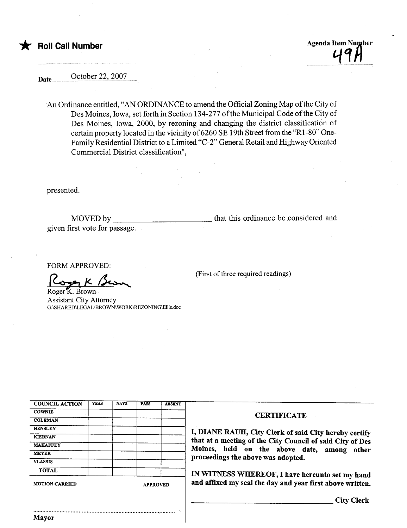\* Roll Call Number Agenda Item Number Agenda Item Number

Date .9~tl:.~.~r-~~'.~9.9.?.. .....

An Ordinance entitled, "AN ORDINANCE to amend the Official Zoning Map of the City of Des Moines, Iowa, set forth in Section 134-277 of the Municipal Code of the City of Des Moines, Iowa, 2000, by rezoning and changing the district classification of certain property located in the vicinity of 6260 SE 19th Street from the "Rl-80" One-Family Residential District to a Limited "C-2" General Retail and Highway Oriented Commercial District classification",

presented.

MOVED by \_\_\_\_\_\_\_ given first vote for passage. that this ordinance be considered and

(First of three required readings)

FORM APPROVED:

 $K_{\text{Roger}}$ K<br>Roger K. Brown

Assistant City Attorney G:\SHARED\LEGAL\BROWN\ WORK\REZONING\Ellis.doc

|                                      | <b>ABSENT</b> | <b>PASS</b>     | <b>NAYS</b> | <b>YEAS</b> | <b>COUNCIL ACTION</b> |
|--------------------------------------|---------------|-----------------|-------------|-------------|-----------------------|
| <b>CERTIFICATE</b>                   |               |                 |             |             | <b>COWNIE</b>         |
|                                      |               |                 |             |             | <b>COLEMAN</b>        |
| I, DIANE RAUH, City Clerk of said    |               |                 |             |             | <b>HENSLEY</b>        |
| that at a meeting of the City Counci |               |                 |             |             | <b>KIERNAN</b>        |
|                                      |               |                 |             |             | <b>MAHAFFEY</b>       |
| Moines, held on the above d          |               |                 |             |             | <b>MEYER</b>          |
| proceedings the above was adopted.   |               |                 |             |             | <b>VLASSIS</b>        |
| IN WITNESS WHEREOF, I have h         |               |                 |             |             | <b>TOTAL</b>          |
| and affixed my seal the day and year |               | <b>APPROVED</b> |             |             | <b>MOTION CARRIED</b> |

I, DIANE RAUH, City Clerk of said City hereby certify that at a meetig of the City Council of said City of Des Moines, held on the above date, among other proceedings the above was adopted.

IN WITNESS WHEREOF, I have hereunto set my hand and affixed my seal the day and year first above written.

City Clerk

..........................................................................................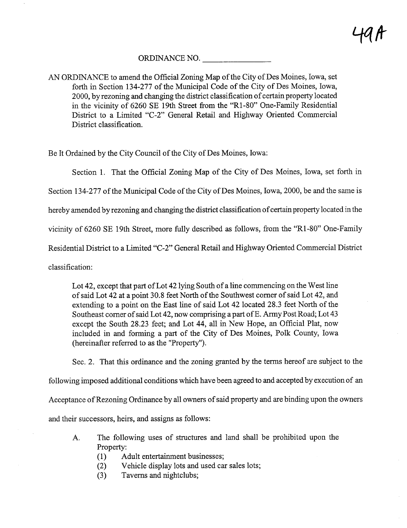## ORDINANCE NO.

AN ORDINANCE to amend the Official Zoning Map of the City of Des Moines, Iowa, set forth in Section 134-277 of the Municipal Code of the City of Des Moines, Iowa, 2000, by rezoning and changing the district classification of certain property located in the vicinity of 6260 SE 19th Street from the "Rl-80" One-Family Residential District to a Limited "C-2" General Retail and Highway Oriented Commercial District classification.

Be It Ordained by the City Council of the City of Des Moines, Iowa:

Section 1. That the Official Zoning Map of the City of Des Moines, Iowa, set forth in

Section 134-277 of the Municipal Code of the City of Des Moines, Iowa, 2000, be and the same is

hereby amended by rezoning and changing the district classification of certain property located in the

vicinity of 6260 SE 19th Street, more fully described as follows, from the "Rl-80" One-Family

Residential District to a Limited "C-2" General Retail and Highway Oriented Commercial District

classification:

Lot 42, except that part of Lot 42 lying South of a line commencing on the West line of said Lot 42 at a point 30.8 feet North of the Southwest comer of said Lot 42, and extending to a point on the East line of said Lot 42 located 28.3 feet North of the Southeast corner of said Lot 42, now comprising a part of E. Army Post Road; Lot 43 except the South 28.23 feet; and Lot 44, all in New Hope, an Official Plat, now included in and forming a par of the City of Des Moines, Polk County, Iowa (hereinafter referred to as the "Property").

Sec. 2. That this ordinance and the zoning granted by the terms hereof are subject to the

following imposed additional conditions which have been agreed to and accepted by execution of an

Acceptance of Rezoning Ordinance by all owners of said property and are binding upon the owners

and their successors, heirs, and assigns as follows:

- A. The following uses of structues and land shall be prohibited upon the Property:
	- (1) Adult entertainment businesses;
	- (2) Vehicle display lots and used car sales lots;
	- (3) Taverns and nightclubs;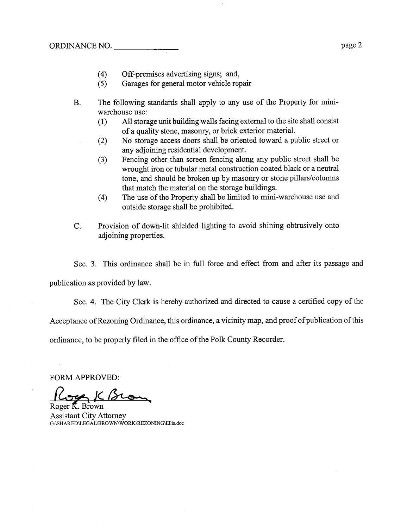- (4) Off-premises advertising signs; and,<br>(5) Garages for general motor vehicle rep
- (5) Garages for general motor vehicle repair
- B. The following standards shall apply to any use of the Property for miniwarehouse use:
	- (1) All storage unt building walls facing external to the site shall consist of a quality stone, masonr, or brick exterior materiaL.
	- (2) No storage access doors shall be oriented toward a public street or any adjoinig residential development.
	- (3) Fencing other than screen fencing along any public street shall be wrought iron or tubular metal construction coated black or a neutral tone, and should be broken up by masonry or stone pillars/columns that match the material on the storage buildings.
	- (4) The use of the Property shall be limited to mini-warehouse use and outside storage shall be prohibited.
- C. Provision of down-lit shielded lighting to avoid shining obtrusively onto adjoining properties.

Sec. 3. This ordinance shall be in full force and effect from and after its passage and

publication as provided by law.

Sec. 4. The City Clerk is hereby authorized and directed to cause a certified copy of the

Acceptance of Rezoning Ordinance, this ordinance, a vicinity map, and proof of publication ofthis

ordinance, to be properly filed in the office of the Polk County Recorder.

FORM APPROVED:<br>Cope K. Brown

Assistant City Attorney G:\SHARED\LEGAL\BROWNWORK\RZONlNG\Ells.doc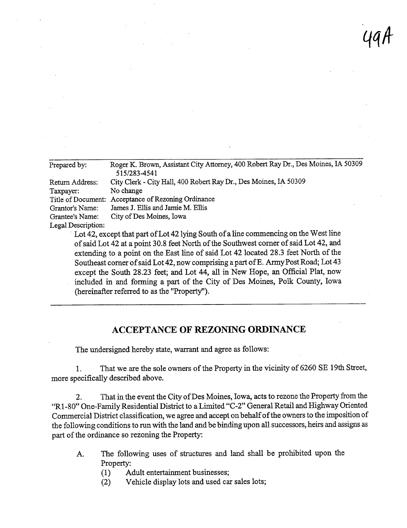| 49A |  |
|-----|--|
|     |  |

| Prepared by:       | Roger K. Brown, Assistant City Attorney, 400 Robert Ray Dr., Des Moines, IA 50309<br>515/283-4541 |
|--------------------|---------------------------------------------------------------------------------------------------|
| Return Address:    | City Clerk - City Hall, 400 Robert Ray Dr., Des Moines, IA 50309                                  |
| Taxpayer:          | No change                                                                                         |
| Title of Document: | Acceptance of Rezoning Ordinance                                                                  |
| Grantor's Name:    | James J. Ellis and Jamie M. Ellis                                                                 |
| Grantee's Name:    | City of Des Moines, Iowa                                                                          |
| Legal Description: |                                                                                                   |
|                    | Lot 42, except that part of Lot 42 lying South of a line commencing on the West line              |
|                    | of said Lot 42 at a point 30.8 feet North of the Southwest corner of said Lot 42, and             |
|                    | extending to a point on the East line of said Lot 42 located 28.3 feet North of the               |
|                    | Southeast corner of said Lot 42, now comprising a part of E. Army Post Road; Lot 43               |
|                    | except the South 28.23 feet; and Lot 44, all in New Hope, an Official Plat, now                   |
|                    | included in and forming a part of the City of Des Moines, Polk County, Iowa                       |

(hereinafter referred to as the "Property").

## ACCEPTANCE OF REZONING ORDINANCE

The undersigned hereby state, warant and agree as follows:

1. That we are the sole owners of the Property in the vicinity of 6260 SE 19th Street, more specifically described above.

2. That in the event the City of Des Moines, Iowa, acts to rezone the Property from the "R1-80" One-Family Residential District to a Limited "C-2" General Retail and Highway Oriented Commercial District classification, we agree and accept on behalf of the owners to the imposition of the following conditions to run with the land and be binding upon all successors, heirs and assigns as part of the ordinance so rezoning the Property:

- A. The following uses of structures and land shall be prohibited upon the Property:
	- (1) Adult entertainment businesses;<br>(2) Vehicle display lots and used can
	- Vehicle display lots and used car sales lots;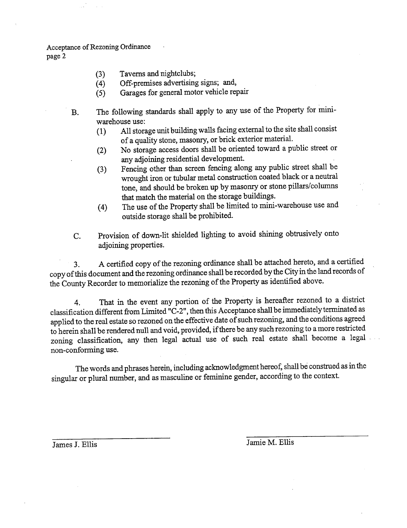Acceptance of Rezonig Ordiance page 2

- $(3)$  Taverns and inginuities,
- (4) Off-premises advertising signs; and,
- (5) Garages for general motor vehicle repai
- B. The following standards shall apply to any use of the Property for miniwarehouse use:
	- (1) All storage unt buildig walls facing external to the site shall consist of a quality stone, masonr, or brick exterior materiaL.
	- (2) No storage access doors shall be oriented toward a public street or
	- any adjoining residential development.<br>Fencing other than screen fencing along any public street shall be  $(3)$  Fencing other than serien fencing along any public street shall be  $(3)$ wrought iron or tubular metal construction coated black or a neutral tone, and should be broken up by masonry or stone pillars/columns that match the material on the storage buildings.
	- $(4)$ The use of the Property shall be limited to mini-warehouse use and outside storage shall be prohibited.
- C. Provision of down-lit shielded lighting to avoid shining obtrusively onto adioining properties.

3. A certified copy of the rezoning ordinance shall be attached hereto, and a certified copy of ths document and the rezonig ordiance shall be recorded by the City in the land records of the County Recorder to memorialize the rezoning of the Property as identified above.

4. That in the event any portion of the Property is hereafter rezoned to a district classification different from Limited "C-2", then this Acceptance shall be immediately terminated as applied to the real estate so rezoned on the effective date of such rezonig, and the conditions agreed to herein shall be rendered null and void, provided, if there be any such rezoning to a more restricted zoning classification, any then legal actual use of such real estate shall become a legal non-conforming use.

The words and phrases herein, including acknowledgment hereof, shall be constred as in the singular or plural number, and as masculine or feminie gender, according to the context.

James J. Ellis Jamie M. Ellis